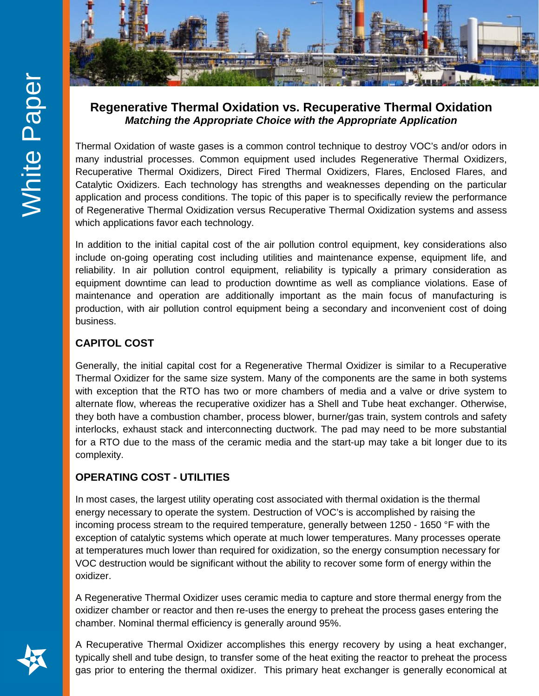

## **Regenerative Thermal Oxidation vs. Recuperative Thermal Oxidation** *Matching the Appropriate Choice with the Appropriate Application*

Thermal Oxidation of waste gases is a common control technique to destroy VOC's and/or odors in many industrial processes. Common equipment used includes Regenerative Thermal Oxidizers, Recuperative Thermal Oxidizers, Direct Fired Thermal Oxidizers, Flares, Enclosed Flares, and Catalytic Oxidizers. Each technology has strengths and weaknesses depending on the particular application and process conditions. The topic of this paper is to specifically review the performance of Regenerative Thermal Oxidization versus Recuperative Thermal Oxidization systems and assess which applications favor each technology.

In addition to the initial capital cost of the air pollution control equipment, key considerations also include on-going operating cost including utilities and maintenance expense, equipment life, and reliability. In air pollution control equipment, reliability is typically a primary consideration as equipment downtime can lead to production downtime as well as compliance violations. Ease of maintenance and operation are additionally important as the main focus of manufacturing is production, with air pollution control equipment being a secondary and inconvenient cost of doing business.

# **CAPITOL COST**

Generally, the initial capital cost for a Regenerative Thermal Oxidizer is similar to a Recuperative Thermal Oxidizer for the same size system. Many of the components are the same in both systems with exception that the RTO has two or more chambers of media and a valve or drive system to alternate flow, whereas the recuperative oxidizer has a Shell and Tube heat exchanger. Otherwise, they both have a combustion chamber, process blower, burner/gas train, system controls and safety interlocks, exhaust stack and interconnecting ductwork. The pad may need to be more substantial for a RTO due to the mass of the ceramic media and the start-up may take a bit longer due to its complexity.

## **OPERATING COST - UTILITIES**

In most cases, the largest utility operating cost associated with thermal oxidation is the thermal energy necessary to operate the system. Destruction of VOC's is accomplished by raising the incoming process stream to the required temperature, generally between 1250 - 1650 °F with the exception of catalytic systems which operate at much lower temperatures. Many processes operate at temperatures much lower than required for oxidization, so the energy consumption necessary for VOC destruction would be significant without the ability to recover some form of energy within the oxidizer.

A Regenerative Thermal Oxidizer uses ceramic media to capture and store thermal energy from the oxidizer chamber or reactor and then re-uses the energy to preheat the process gases entering the chamber. Nominal thermal efficiency is generally around 95%.

A Recuperative Thermal Oxidizer accomplishes this energy recovery by using a heat exchanger, typically shell and tube design, to transfer some of the heat exiting the reactor to preheat the process gas prior to entering the thermal oxidizer. This primary heat exchanger is generally economical at

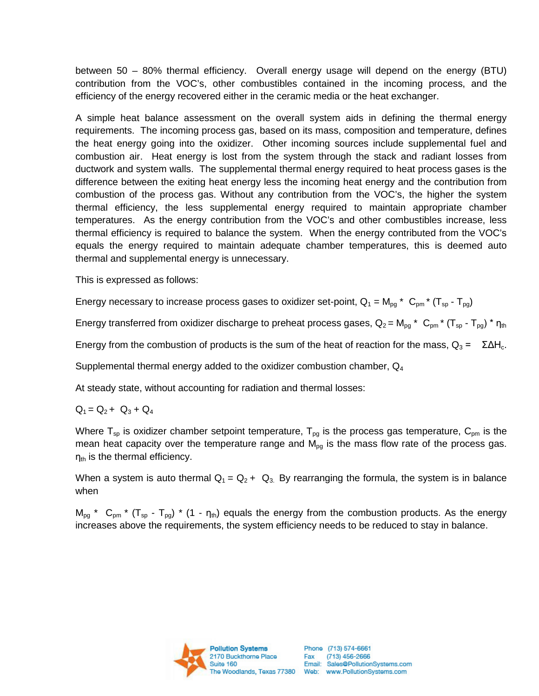between 50 – 80% thermal efficiency. Overall energy usage will depend on the energy (BTU) contribution from the VOC's, other combustibles contained in the incoming process, and the efficiency of the energy recovered either in the ceramic media or the heat exchanger.

A simple heat balance assessment on the overall system aids in defining the thermal energy requirements. The incoming process gas, based on its mass, composition and temperature, defines the heat energy going into the oxidizer. Other incoming sources include supplemental fuel and combustion air. Heat energy is lost from the system through the stack and radiant losses from ductwork and system walls. The supplemental thermal energy required to heat process gases is the difference between the exiting heat energy less the incoming heat energy and the contribution from combustion of the process gas. Without any contribution from the VOC's, the higher the system thermal efficiency, the less supplemental energy required to maintain appropriate chamber temperatures. As the energy contribution from the VOC's and other combustibles increase, less thermal efficiency is required to balance the system. When the energy contributed from the VOC's equals the energy required to maintain adequate chamber temperatures, this is deemed auto thermal and supplemental energy is unnecessary.

This is expressed as follows:

Energy necessary to increase process gases to oxidizer set-point,  $Q_1 = M_{pg}$  \*  $C_{pm}$  \* (T<sub>sp</sub> - T<sub>pg</sub>)

Energy transferred from oxidizer discharge to preheat process gases,  $Q_2 = M_{pg}$  \*  $C_{pm}$  \*  $(T_{sp} - T_{pg})$  \*  $\eta_{th}$ 

Energy from the combustion of products is the sum of the heat of reaction for the mass,  $Q_3 = \Sigma \Delta H_c$ .

Supplemental thermal energy added to the oxidizer combustion chamber, Q4

At steady state, without accounting for radiation and thermal losses:

 $Q_1 = Q_2 + Q_3 + Q_4$ 

Where  $T_{sp}$  is oxidizer chamber setpoint temperature,  $T_{pq}$  is the process gas temperature,  $C_{pm}$  is the mean heat capacity over the temperature range and  $M_{pg}$  is the mass flow rate of the process gas.  $\eta_{\text{th}}$  is the thermal efficiency.

When a system is auto thermal  $Q_1 = Q_2 + Q_3$ . By rearranging the formula, the system is in balance when

 $M_{\text{pg}}$  \*  $C_{\text{pnn}}$  \* (T<sub>sp</sub> - T<sub>pg</sub>) \* (1 - n<sub>th</sub>) equals the energy from the combustion products. As the energy increases above the requirements, the system efficiency needs to be reduced to stay in balance.

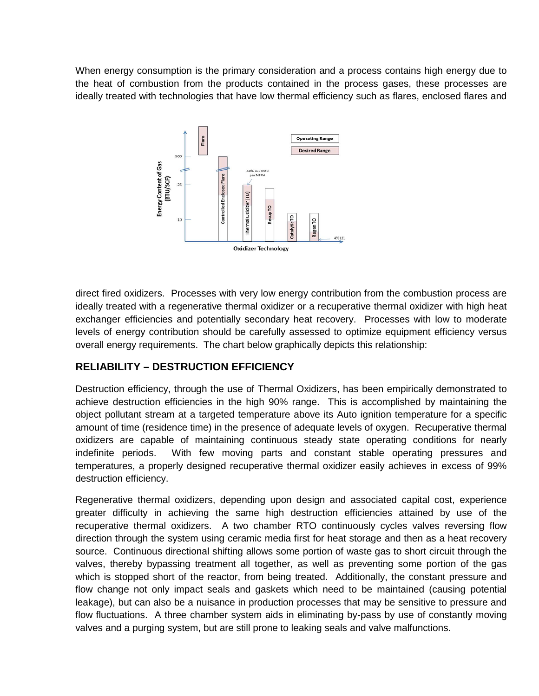When energy consumption is the primary consideration and a process contains high energy due to the heat of combustion from the products contained in the process gases, these processes are ideally treated with technologies that have low thermal efficiency such as flares, enclosed flares and



direct fired oxidizers. Processes with very low energy contribution from the combustion process are ideally treated with a regenerative thermal oxidizer or a recuperative thermal oxidizer with high heat exchanger efficiencies and potentially secondary heat recovery. Processes with low to moderate levels of energy contribution should be carefully assessed to optimize equipment efficiency versus overall energy requirements. The chart below graphically depicts this relationship:

#### **RELIABILITY – DESTRUCTION EFFICIENCY**

Destruction efficiency, through the use of Thermal Oxidizers, has been empirically demonstrated to achieve destruction efficiencies in the high 90% range. This is accomplished by maintaining the object pollutant stream at a targeted temperature above its Auto ignition temperature for a specific amount of time (residence time) in the presence of adequate levels of oxygen. Recuperative thermal oxidizers are capable of maintaining continuous steady state operating conditions for nearly indefinite periods. With few moving parts and constant stable operating pressures and temperatures, a properly designed recuperative thermal oxidizer easily achieves in excess of 99% destruction efficiency.

Regenerative thermal oxidizers, depending upon design and associated capital cost, experience greater difficulty in achieving the same high destruction efficiencies attained by use of the recuperative thermal oxidizers. A two chamber RTO continuously cycles valves reversing flow direction through the system using ceramic media first for heat storage and then as a heat recovery source. Continuous directional shifting allows some portion of waste gas to short circuit through the valves, thereby bypassing treatment all together, as well as preventing some portion of the gas which is stopped short of the reactor, from being treated. Additionally, the constant pressure and flow change not only impact seals and gaskets which need to be maintained (causing potential leakage), but can also be a nuisance in production processes that may be sensitive to pressure and flow fluctuations. A three chamber system aids in eliminating by-pass by use of constantly moving valves and a purging system, but are still prone to leaking seals and valve malfunctions.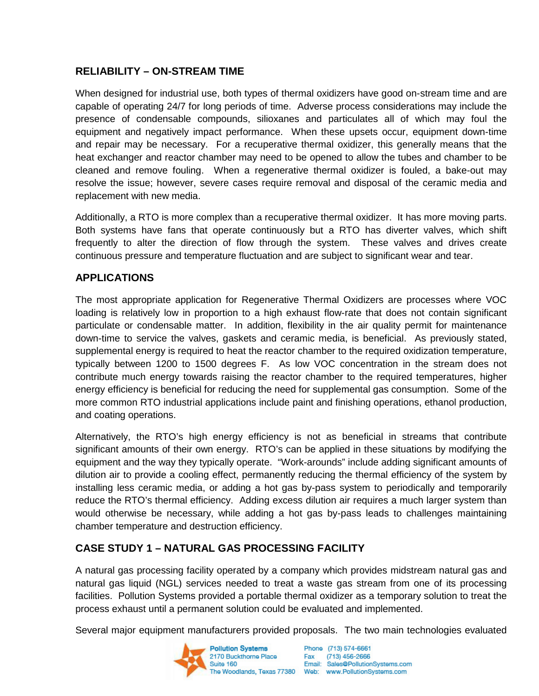### **RELIABILITY – ON-STREAM TIME**

When designed for industrial use, both types of thermal oxidizers have good on-stream time and are capable of operating 24/7 for long periods of time. Adverse process considerations may include the presence of condensable compounds, silioxanes and particulates all of which may foul the equipment and negatively impact performance. When these upsets occur, equipment down-time and repair may be necessary. For a recuperative thermal oxidizer, this generally means that the heat exchanger and reactor chamber may need to be opened to allow the tubes and chamber to be cleaned and remove fouling. When a regenerative thermal oxidizer is fouled, a bake-out may resolve the issue; however, severe cases require removal and disposal of the ceramic media and replacement with new media.

Additionally, a RTO is more complex than a recuperative thermal oxidizer. It has more moving parts. Both systems have fans that operate continuously but a RTO has diverter valves, which shift frequently to alter the direction of flow through the system. These valves and drives create continuous pressure and temperature fluctuation and are subject to significant wear and tear.

#### **APPLICATIONS**

The most appropriate application for Regenerative Thermal Oxidizers are processes where VOC loading is relatively low in proportion to a high exhaust flow-rate that does not contain significant particulate or condensable matter. In addition, flexibility in the air quality permit for maintenance down-time to service the valves, gaskets and ceramic media, is beneficial. As previously stated, supplemental energy is required to heat the reactor chamber to the required oxidization temperature, typically between 1200 to 1500 degrees F. As low VOC concentration in the stream does not contribute much energy towards raising the reactor chamber to the required temperatures, higher energy efficiency is beneficial for reducing the need for supplemental gas consumption. Some of the more common RTO industrial applications include paint and finishing operations, ethanol production, and coating operations.

Alternatively, the RTO's high energy efficiency is not as beneficial in streams that contribute significant amounts of their own energy. RTO's can be applied in these situations by modifying the equipment and the way they typically operate. "Work-arounds" include adding significant amounts of dilution air to provide a cooling effect, permanently reducing the thermal efficiency of the system by installing less ceramic media, or adding a hot gas by-pass system to periodically and temporarily reduce the RTO's thermal efficiency. Adding excess dilution air requires a much larger system than would otherwise be necessary, while adding a hot gas by-pass leads to challenges maintaining chamber temperature and destruction efficiency.

#### **CASE STUDY 1 – NATURAL GAS PROCESSING FACILITY**

A natural gas processing facility operated by a company which provides midstream natural gas and natural gas liquid (NGL) services needed to treat a waste gas stream from one of its processing facilities. Pollution Systems provided a portable thermal oxidizer as a temporary solution to treat the process exhaust until a permanent solution could be evaluated and implemented.

Several major equipment manufacturers provided proposals. The two main technologies evaluated

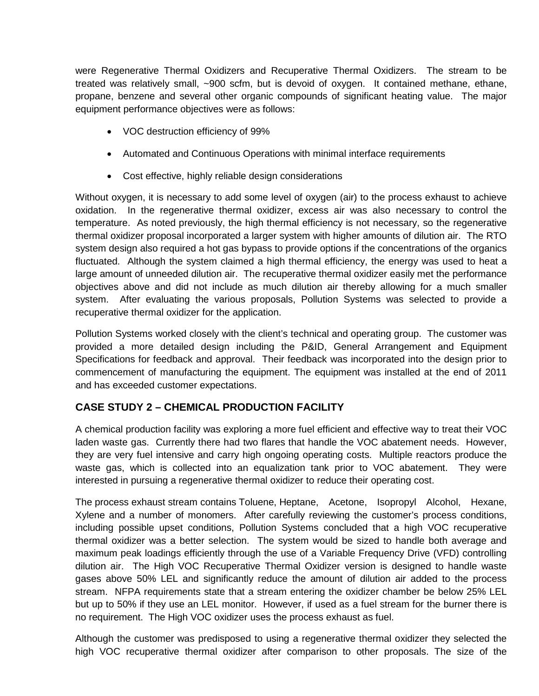were Regenerative Thermal Oxidizers and Recuperative Thermal Oxidizers. The stream to be treated was relatively small, ~900 scfm, but is devoid of oxygen. It contained methane, ethane, propane, benzene and several other organic compounds of significant heating value. The major equipment performance objectives were as follows:

- VOC destruction efficiency of 99%
- Automated and Continuous Operations with minimal interface requirements
- Cost effective, highly reliable design considerations

Without oxygen, it is necessary to add some level of oxygen (air) to the process exhaust to achieve oxidation. In the regenerative thermal oxidizer, excess air was also necessary to control the temperature. As noted previously, the high thermal efficiency is not necessary, so the regenerative thermal oxidizer proposal incorporated a larger system with higher amounts of dilution air. The RTO system design also required a hot gas bypass to provide options if the concentrations of the organics fluctuated. Although the system claimed a high thermal efficiency, the energy was used to heat a large amount of unneeded dilution air. The recuperative thermal oxidizer easily met the performance objectives above and did not include as much dilution air thereby allowing for a much smaller system. After evaluating the various proposals, Pollution Systems was selected to provide a recuperative thermal oxidizer for the application.

Pollution Systems worked closely with the client's technical and operating group. The customer was provided a more detailed design including the P&ID, General Arrangement and Equipment Specifications for feedback and approval. Their feedback was incorporated into the design prior to commencement of manufacturing the equipment. The equipment was installed at the end of 2011 and has exceeded customer expectations.

#### **CASE STUDY 2 – CHEMICAL PRODUCTION FACILITY**

A chemical production facility was exploring a more fuel efficient and effective way to treat their VOC laden waste gas. Currently there had two flares that handle the VOC abatement needs. However, they are very fuel intensive and carry high ongoing operating costs. Multiple reactors produce the waste gas, which is collected into an equalization tank prior to VOC abatement. They were interested in pursuing a regenerative thermal oxidizer to reduce their operating cost.

The process exhaust stream contains Toluene, Heptane, Acetone, Isopropyl Alcohol, Hexane, Xylene and a number of monomers. After carefully reviewing the customer's process conditions, including possible upset conditions, Pollution Systems concluded that a high VOC recuperative thermal oxidizer was a better selection. The system would be sized to handle both average and maximum peak loadings efficiently through the use of a Variable Frequency Drive (VFD) controlling dilution air. The High VOC Recuperative Thermal Oxidizer version is designed to handle waste gases above 50% LEL and significantly reduce the amount of dilution air added to the process stream. NFPA requirements state that a stream entering the oxidizer chamber be below 25% LEL but up to 50% if they use an LEL monitor. However, if used as a fuel stream for the burner there is no requirement. The High VOC oxidizer uses the process exhaust as fuel.

Although the customer was predisposed to using a regenerative thermal oxidizer they selected the high VOC recuperative thermal oxidizer after comparison to other proposals. The size of the